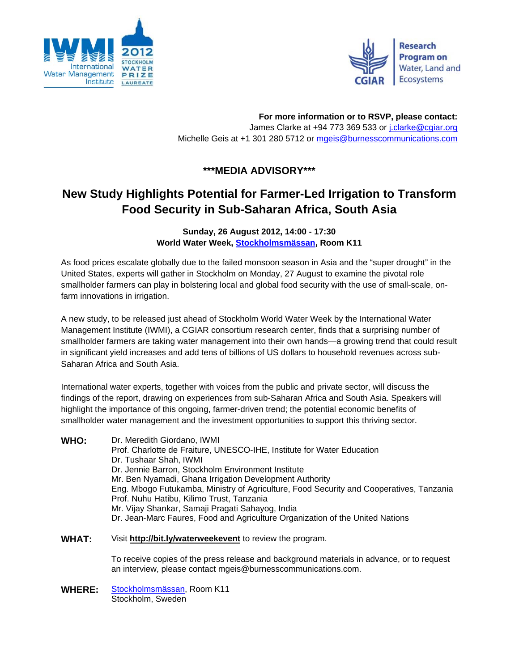



**For more information or to RSVP, please contact:**  James Clarke at +94 773 369 533 or j.clarke@cgiar.org Michelle Geis at +1 301 280 5712 or mgeis@burnesscommunications.com

## **\*\*\*MEDIA ADVISORY\*\*\***

## **New Study Highlights Potential for Farmer-Led Irrigation to Transform Food Security in Sub-Saharan Africa, South Asia**

**Sunday, 26 August 2012, 14:00 - 17:30 World Water Week, Stockholmsmässan, Room K11**

As food prices escalate globally due to the failed monsoon season in Asia and the "super drought" in the United States, experts will gather in Stockholm on Monday, 27 August to examine the pivotal role smallholder farmers can play in bolstering local and global food security with the use of small-scale, onfarm innovations in irrigation.

A new study, to be released just ahead of Stockholm World Water Week by the International Water Management Institute (IWMI), a CGIAR consortium research center, finds that a surprising number of smallholder farmers are taking water management into their own hands—a growing trend that could result in significant yield increases and add tens of billions of US dollars to household revenues across sub-Saharan Africa and South Asia.

International water experts, together with voices from the public and private sector, will discuss the findings of the report, drawing on experiences from sub-Saharan Africa and South Asia. Speakers will highlight the importance of this ongoing, farmer-driven trend; the potential economic benefits of smallholder water management and the investment opportunities to support this thriving sector.

**WHO:** Dr. Meredith Giordano, IWMI Prof. Charlotte de Fraiture, UNESCO-IHE, Institute for Water Education Dr. Tushaar Shah, IWMI Dr. Jennie Barron, Stockholm Environment Institute Mr. Ben Nyamadi, Ghana Irrigation Development Authority Eng. Mbogo Futukamba, Ministry of Agriculture, Food Security and Cooperatives, Tanzania Prof. Nuhu Hatibu, Kilimo Trust, Tanzania Mr. Vijay Shankar, Samaji Pragati Sahayog, India Dr. Jean-Marc Faures, Food and Agriculture Organization of the United Nations

**WHAT:** Visit **http://bit.ly/waterweekevent** to review the program.

To receive copies of the press release and background materials in advance, or to request an interview, please contact mgeis@burnesscommunications.com.

**WHERE:** Stockholmsmässan, Room K11 Stockholm, Sweden